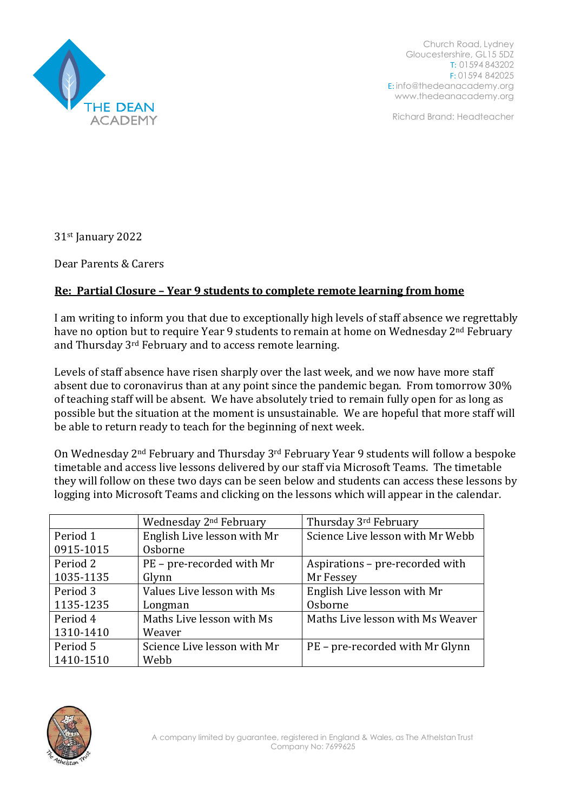

Church Road, Lydney Gloucestershire, GL15 5DZ T: 01594 843202 F: 01594 842025 E: [info@thedeanacademy.org](mailto:info@thedeanacademy.org) [www.thedeanacademy.org](http://www.thedeanacademy.org/)

Richard Brand: Headteacher

31st January 2022

Dear Parents & Carers

## **Re: Partial Closure – Year 9 students to complete remote learning from home**

I am writing to inform you that due to exceptionally high levels of staff absence we regrettably have no option but to require Year 9 students to remain at home on Wednesday 2<sup>nd</sup> February and Thursday 3rd February and to access remote learning.

Levels of staff absence have risen sharply over the last week, and we now have more staff absent due to coronavirus than at any point since the pandemic began. From tomorrow 30% of teaching staff will be absent. We have absolutely tried to remain fully open for as long as possible but the situation at the moment is unsustainable. We are hopeful that more staff will be able to return ready to teach for the beginning of next week.

On Wednesday 2nd February and Thursday 3rd February Year 9 students will follow a bespoke timetable and access live lessons delivered by our staff via Microsoft Teams. The timetable they will follow on these two days can be seen below and students can access these lessons by logging into Microsoft Teams and clicking on the lessons which will appear in the calendar.

|           | Wednesday 2 <sup>nd</sup> February | Thursday 3rd February            |
|-----------|------------------------------------|----------------------------------|
| Period 1  | English Live lesson with Mr        | Science Live lesson with Mr Webb |
| 0915-1015 | Osborne                            |                                  |
| Period 2  | PE - pre-recorded with Mr          | Aspirations - pre-recorded with  |
| 1035-1135 | Glynn                              | Mr Fessey                        |
| Period 3  | Values Live lesson with Ms         | English Live lesson with Mr      |
| 1135-1235 | Longman                            | Osborne                          |
| Period 4  | Maths Live lesson with Ms          | Maths Live lesson with Ms Weaver |
| 1310-1410 | Weaver                             |                                  |
| Period 5  | Science Live lesson with Mr        | PE - pre-recorded with Mr Glynn  |
| 1410-1510 | Webb                               |                                  |